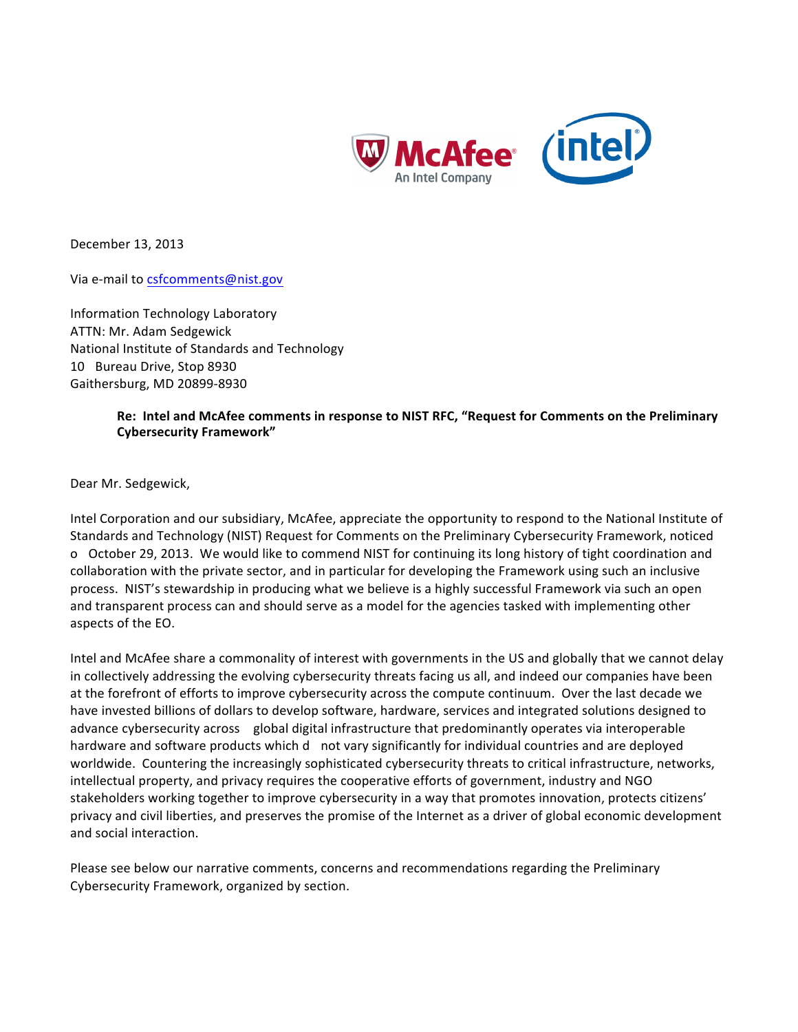

December 13, 2013

Via e-mail to csfcomments@nist.gov

Information Technology Laboratory ATTN: Mr. Adam Sedgewick National Institute of Standards and Technology 10 Bureau Drive, Stop 8930 Gaithersburg, MD 20899-8930

# **Re: Intel and McAfee comments in response to NIST RFC, "Request for Comments on the Preliminary Cybersecurity Framework"**

Dear Mr. Sedgewick,

Intel Corporation and our subsidiary, McAfee, appreciate the opportunity to respond to the National Institute of Standards and Technology (NIST) Request for Comments on the Preliminary Cybersecurity Framework, noticed o October 29, 2013. We would like to commend NIST for continuing its long history of tight coordination and collaboration with the private sector, and in particular for developing the Framework using such an inclusive process. NIST's stewardship in producing what we believe is a highly successful Framework via such an open and transparent process can and should serve as a model for the agencies tasked with implementing other aspects of the EO.

Intel and McAfee share a commonality of interest with governments in the US and globally that we cannot delay in collectively addressing the evolving cybersecurity threats facing us all, and indeed our companies have been at the forefront of efforts to improve cybersecurity across the compute continuum. Over the last decade we have invested billions of dollars to develop software, hardware, services and integrated solutions designed to advance cybersecurity across global digital infrastructure that predominantly operates via interoperable hardware and software products which d not vary significantly for individual countries and are deployed worldwide. Countering the increasingly sophisticated cybersecurity threats to critical infrastructure, networks, intellectual property, and privacy requires the cooperative efforts of government, industry and NGO stakeholders working together to improve cybersecurity in a way that promotes innovation, protects citizens' privacy and civil liberties, and preserves the promise of the Internet as a driver of global economic development and social interaction.

Please see below our narrative comments, concerns and recommendations regarding the Preliminary Cybersecurity Framework, organized by section.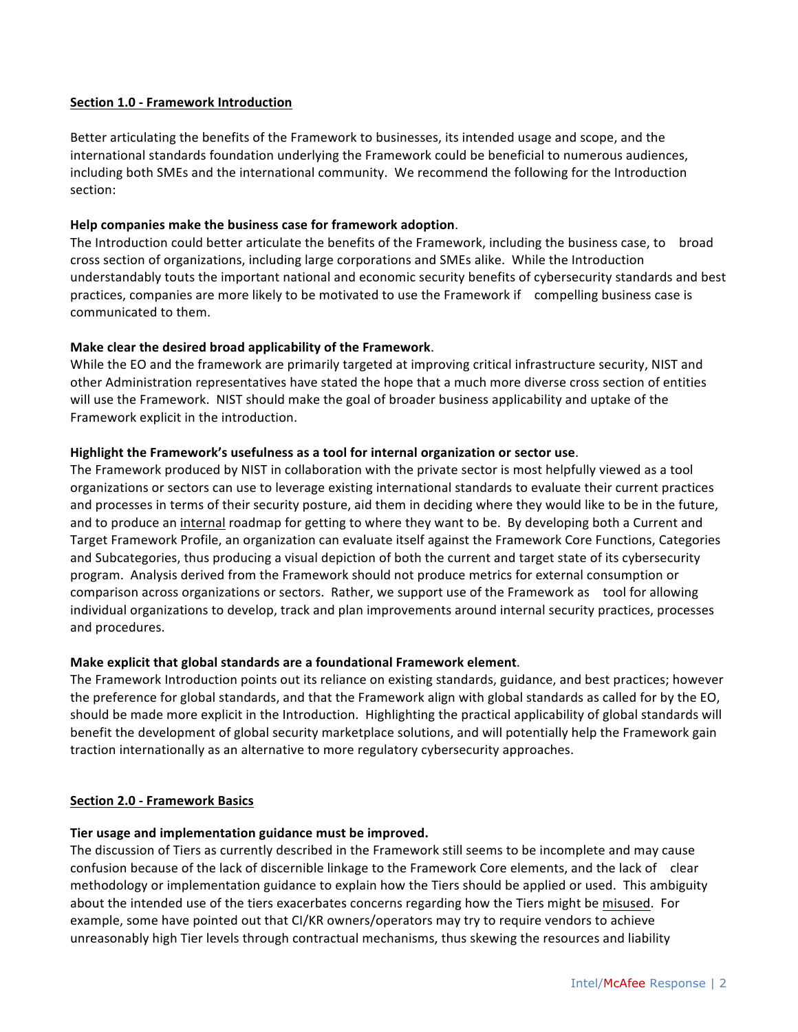## **Section 1.0 - Framework Introduction**

Better articulating the benefits of the Framework to businesses, its intended usage and scope, and the international standards foundation underlying the Framework could be beneficial to numerous audiences, including both SMEs and the international community. We recommend the following for the Introduction section:

## **Help companies make the business case for framework adoption**.

The Introduction could better articulate the benefits of the Framework, including the business case, to broad cross section of organizations, including large corporations and SMEs alike. While the Introduction understandably touts the important national and economic security benefits of cybersecurity standards and best practices, companies are more likely to be motivated to use the Framework if compelling business case is communicated to them.

## **Make clear the desired broad applicability of the Framework**.

While the EO and the framework are primarily targeted at improving critical infrastructure security, NIST and other Administration representatives have stated the hope that a much more diverse cross section of entities will use the Framework. NIST should make the goal of broader business applicability and uptake of the Framework explicit in the introduction.

## **Highlight the Framework's usefulness as a tool for internal organization or sector use**.

The Framework produced by NIST in collaboration with the private sector is most helpfully viewed as a tool organizations or sectors can use to leverage existing international standards to evaluate their current practices and processes in terms of their security posture, aid them in deciding where they would like to be in the future, and to produce an internal roadmap for getting to where they want to be. By developing both a Current and Target Framework Profile, an organization can evaluate itself against the Framework Core Functions, Categories and Subcategories, thus producing a visual depiction of both the current and target state of its cybersecurity program. Analysis derived from the Framework should not produce metrics for external consumption or comparison across organizations or sectors. Rather, we support use of the Framework as tool for allowing individual organizations to develop, track and plan improvements around internal security practices, processes and procedures.

# **Make explicit that global standards are a foundational Framework element**.

The Framework Introduction points out its reliance on existing standards, guidance, and best practices; however the preference for global standards, and that the Framework align with global standards as called for by the EO, should be made more explicit in the Introduction. Highlighting the practical applicability of global standards will benefit the development of global security marketplace solutions, and will potentially help the Framework gain traction internationally as an alternative to more regulatory cybersecurity approaches.

# **Section 2.0 - Framework Basics**

# **Tier usage and implementation guidance must be improved.**

The discussion of Tiers as currently described in the Framework still seems to be incomplete and may cause confusion because of the lack of discernible linkage to the Framework Core elements, and the lack of clear methodology or implementation guidance to explain how the Tiers should be applied or used. This ambiguity about the intended use of the tiers exacerbates concerns regarding how the Tiers might be misused. For example, some have pointed out that CI/KR owners/operators may try to require vendors to achieve unreasonably high Tier levels through contractual mechanisms, thus skewing the resources and liability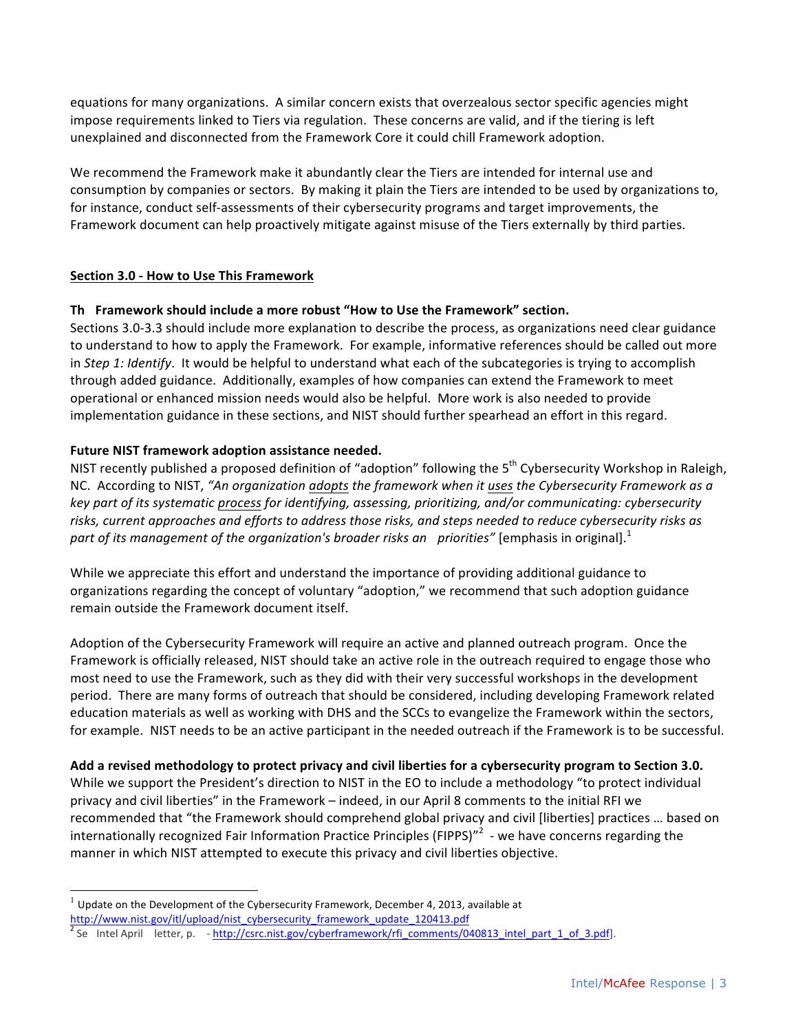equations for many organizations. A similar concern exists that overzealous sector specific agencies might impose requirements linked to Tiers via regulation. These concerns are valid, and if the tiering is left unexplained and disconnected from the Framework Core it could chill Framework adoption.

We recommend the Framework make it abundantly clear the Tiers are intended for internal use and consumption by companies or sectors. By making it plain the Tiers are intended to be used by organizations to, for instance, conduct self-assessments of their cybersecurity programs and target improvements, the Framework document can help proactively mitigate against misuse of the Tiers externally by third parties.

# **Section 3.0 - How to Use This Framework**

# **Th Framework should include a more robust "How to Use the Framework" section.**

Sections 3.0-3.3 should include more explanation to describe the process, as organizations need clear guidance to understand to how to apply the Framework. For example, informative references should be called out more in *Step 1: Identify*. It would be helpful to understand what each of the subcategories is trying to accomplish through added guidance. Additionally, examples of how companies can extend the Framework to meet operational or enhanced mission needs would also be helpful. More work is also needed to provide implementation guidance in these sections, and NIST should further spearhead an effort in this regard.

# **Future NIST framework adoption assistance needed.**

NIST recently published a proposed definition of "adoption" following the  $5<sup>th</sup>$  Cybersecurity Workshop in Raleigh, NC. According to NIST, *"An organization adopts the framework when it uses the Cybersecurity Framework as a key part of its systematic process for identifying, assessing, prioritizing, and/or communicating: cybersecurity risks, current approaches and efforts to address those risks, and steps needed to reduce cybersecurity risks as part of its management of the organization's broader risks an priorities" [emphasis in original].*<sup>1</sup>

While we appreciate this effort and understand the importance of providing additional guidance to organizations regarding the concept of voluntary "adoption," we recommend that such adoption guidance remain outside the Framework document itself.

Adoption of the Cybersecurity Framework will require an active and planned outreach program. Once the Framework is officially released, NIST should take an active role in the outreach required to engage those who most need to use the Framework, such as they did with their very successful workshops in the development period. There are many forms of outreach that should be considered, including developing Framework related education materials as well as working with DHS and the SCCs to evangelize the Framework within the sectors, for example. NIST needs to be an active participant in the needed outreach if the Framework is to be successful.

# **Add a revised methodology to protect privacy and civil liberties for a cybersecurity program to Section 3.0.**

While we support the President's direction to NIST in the EO to include a methodology "to protect individual privacy and civil liberties" in the Framework – indeed, in our April 8 comments to the initial RFI we recommended that "the Framework should comprehend global privacy and civil [liberties] practices ... based on internationally recognized Fair Information Practice Principles (FIPPS)"<sup>2</sup> - we have concerns regarding the manner in which NIST attempted to execute this privacy and civil liberties objective.

1

<sup>1</sup>Update on the Development of the Cybersecurity Framework, December 4, 2013, available at http://www.nist.gov/itl/upload/nist\_cybersecurity\_framework\_update\_120413.pdf

<sup>&</sup>lt;sup>2</sup> Se Intel April letter, p.  $-$  http://csrc.nist.gov/cyberframework/rfi\_comments/040813\_intel\_part\_1\_of\_3.pdf].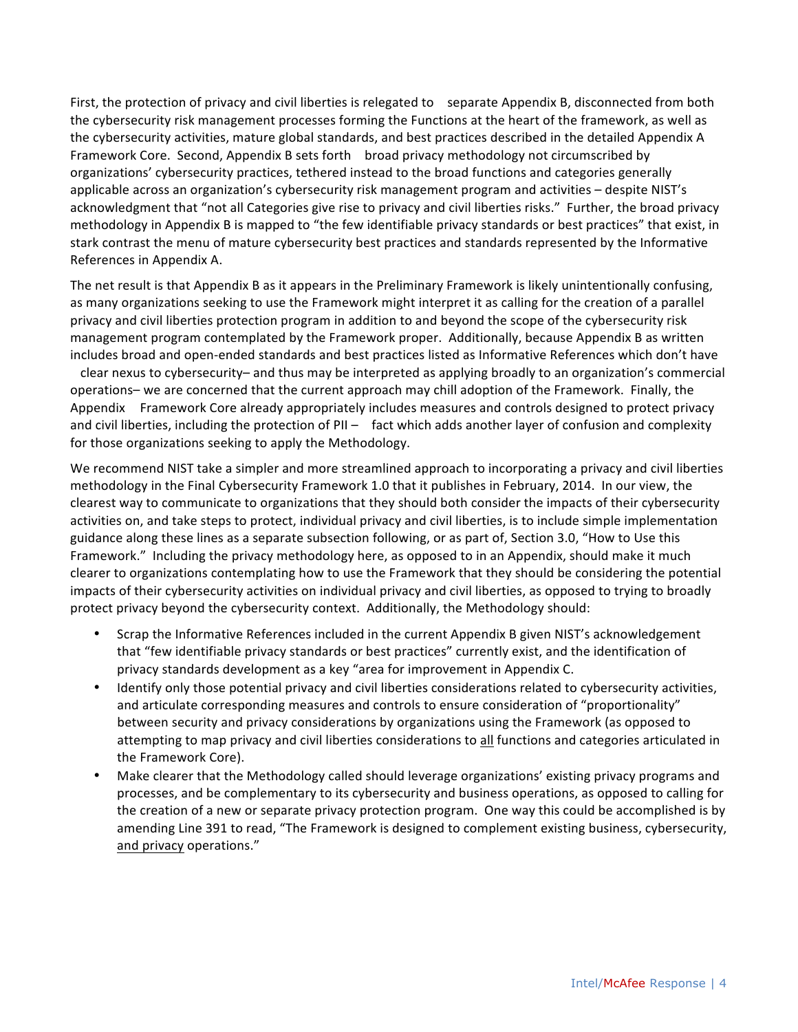First, the protection of privacy and civil liberties is relegated to separate Appendix B, disconnected from both the cybersecurity risk management processes forming the Functions at the heart of the framework, as well as the cybersecurity activities, mature global standards, and best practices described in the detailed Appendix A Framework Core. Second, Appendix B sets forth broad privacy methodology not circumscribed by organizations' cybersecurity practices, tethered instead to the broad functions and categories generally applicable across an organization's cybersecurity risk management program and activities - despite NIST's acknowledgment that "not all Categories give rise to privacy and civil liberties risks." Further, the broad privacy methodology in Appendix B is mapped to "the few identifiable privacy standards or best practices" that exist, in stark contrast the menu of mature cybersecurity best practices and standards represented by the Informative References in Appendix A.

The net result is that Appendix B as it appears in the Preliminary Framework is likely unintentionally confusing, as many organizations seeking to use the Framework might interpret it as calling for the creation of a parallel privacy and civil liberties protection program in addition to and beyond the scope of the cybersecurity risk management program contemplated by the Framework proper. Additionally, because Appendix B as written includes broad and open-ended standards and best practices listed as Informative References which don't have

clear nexus to cybersecurity- and thus may be interpreted as applying broadly to an organization's commercial operations– we are concerned that the current approach may chill adoption of the Framework. Finally, the Appendix Framework Core already appropriately includes measures and controls designed to protect privacy and civil liberties, including the protection of  $PII -$  fact which adds another layer of confusion and complexity for those organizations seeking to apply the Methodology.

We recommend NIST take a simpler and more streamlined approach to incorporating a privacy and civil liberties methodology in the Final Cybersecurity Framework 1.0 that it publishes in February, 2014. In our view, the clearest way to communicate to organizations that they should both consider the impacts of their cybersecurity activities on, and take steps to protect, individual privacy and civil liberties, is to include simple implementation guidance along these lines as a separate subsection following, or as part of, Section 3.0, "How to Use this Framework." Including the privacy methodology here, as opposed to in an Appendix, should make it much clearer to organizations contemplating how to use the Framework that they should be considering the potential impacts of their cybersecurity activities on individual privacy and civil liberties, as opposed to trying to broadly protect privacy beyond the cybersecurity context. Additionally, the Methodology should:

- Scrap the Informative References included in the current Appendix B given NIST's acknowledgement that "few identifiable privacy standards or best practices" currently exist, and the identification of privacy standards development as a key "area for improvement in Appendix C.
- Identify only those potential privacy and civil liberties considerations related to cybersecurity activities, and articulate corresponding measures and controls to ensure consideration of "proportionality" between security and privacy considerations by organizations using the Framework (as opposed to attempting to map privacy and civil liberties considerations to all functions and categories articulated in the Framework Core).
- Make clearer that the Methodology called should leverage organizations' existing privacy programs and processes, and be complementary to its cybersecurity and business operations, as opposed to calling for the creation of a new or separate privacy protection program. One way this could be accomplished is by amending Line 391 to read, "The Framework is designed to complement existing business, cybersecurity, and privacy operations."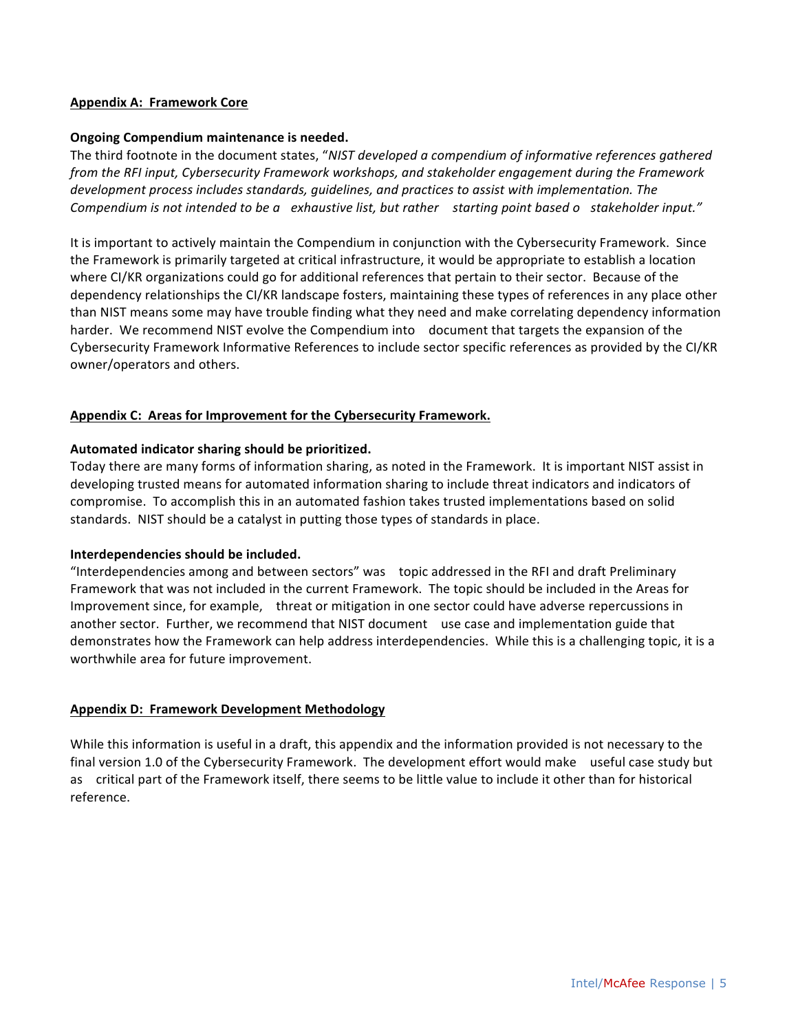## **Appendix A: Framework Core**

## **Ongoing Compendium maintenance is needed.**

The third footnote in the document states, "*NIST developed a compendium of informative references gathered from the RFI input, Cybersecurity Framework workshops, and stakeholder engagement during the Framework development process includes standards, guidelines, and practices to assist with implementation. The Compendium is not intended to be a exhaustive list, but rather starting point based o stakeholder input."*

It is important to actively maintain the Compendium in conjunction with the Cybersecurity Framework. Since the Framework is primarily targeted at critical infrastructure, it would be appropriate to establish a location where CI/KR organizations could go for additional references that pertain to their sector. Because of the dependency relationships the CI/KR landscape fosters, maintaining these types of references in any place other than NIST means some may have trouble finding what they need and make correlating dependency information harder. We recommend NIST evolve the Compendium into document that targets the expansion of the Cybersecurity Framework Informative References to include sector specific references as provided by the CI/KR owner/operators and others.

## **Appendix C: Areas for Improvement for the Cybersecurity Framework.**

#### **Automated indicator sharing should be prioritized.**

Today there are many forms of information sharing, as noted in the Framework. It is important NIST assist in developing trusted means for automated information sharing to include threat indicators and indicators of compromise. To accomplish this in an automated fashion takes trusted implementations based on solid standards. NIST should be a catalyst in putting those types of standards in place.

#### **Interdependencies should be included.**

"Interdependencies among and between sectors" was topic addressed in the RFI and draft Preliminary Framework that was not included in the current Framework. The topic should be included in the Areas for Improvement since, for example, threat or mitigation in one sector could have adverse repercussions in another sector. Further, we recommend that NIST document use case and implementation guide that demonstrates how the Framework can help address interdependencies. While this is a challenging topic, it is a worthwhile area for future improvement.

#### **Appendix D: Framework Development Methodology**

While this information is useful in a draft, this appendix and the information provided is not necessary to the final version 1.0 of the Cybersecurity Framework. The development effort would make useful case study but as critical part of the Framework itself, there seems to be little value to include it other than for historical reference.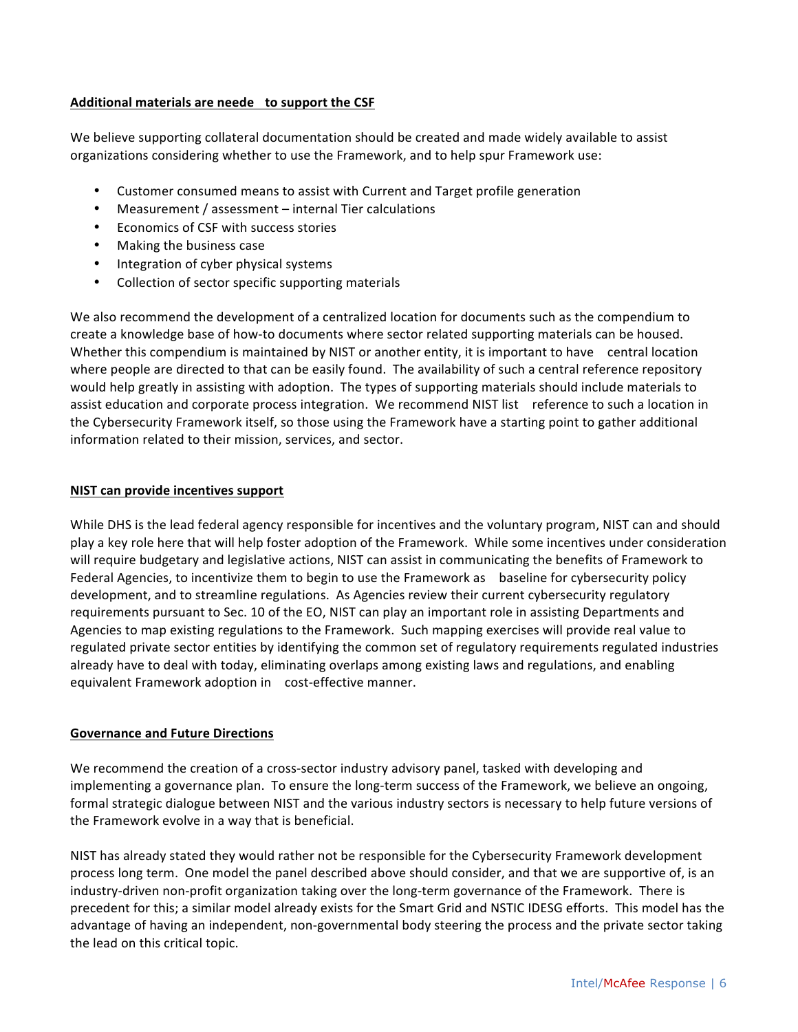# **Additional materials are neede to support the CSF**

We believe supporting collateral documentation should be created and made widely available to assist organizations considering whether to use the Framework, and to help spur Framework use:

- Customer consumed means to assist with Current and Target profile generation
- Measurement / assessment internal Tier calculations
- **Economics of CSF with success stories**
- Making the business case
- Integration of cyber physical systems
- Collection of sector specific supporting materials

We also recommend the development of a centralized location for documents such as the compendium to create a knowledge base of how-to documents where sector related supporting materials can be housed. Whether this compendium is maintained by NIST or another entity, it is important to have central location where people are directed to that can be easily found. The availability of such a central reference repository would help greatly in assisting with adoption. The types of supporting materials should include materials to assist education and corporate process integration. We recommend NIST list reference to such a location in the Cybersecurity Framework itself, so those using the Framework have a starting point to gather additional information related to their mission, services, and sector.

## **NIST can provide incentives support**

While DHS is the lead federal agency responsible for incentives and the voluntary program, NIST can and should play a key role here that will help foster adoption of the Framework. While some incentives under consideration will require budgetary and legislative actions, NIST can assist in communicating the benefits of Framework to Federal Agencies, to incentivize them to begin to use the Framework as baseline for cybersecurity policy development, and to streamline regulations. As Agencies review their current cybersecurity regulatory requirements pursuant to Sec. 10 of the EO, NIST can play an important role in assisting Departments and Agencies to map existing regulations to the Framework. Such mapping exercises will provide real value to regulated private sector entities by identifying the common set of regulatory requirements regulated industries already have to deal with today, eliminating overlaps among existing laws and regulations, and enabling equivalent Framework adoption in cost-effective manner.

#### **Governance and Future Directions**

We recommend the creation of a cross-sector industry advisory panel, tasked with developing and implementing a governance plan. To ensure the long-term success of the Framework, we believe an ongoing, formal strategic dialogue between NIST and the various industry sectors is necessary to help future versions of the Framework evolve in a way that is beneficial.

NIST has already stated they would rather not be responsible for the Cybersecurity Framework development process long term. One model the panel described above should consider, and that we are supportive of, is an industry-driven non-profit organization taking over the long-term governance of the Framework. There is precedent for this; a similar model already exists for the Smart Grid and NSTIC IDESG efforts. This model has the advantage of having an independent, non-governmental body steering the process and the private sector taking the lead on this critical topic.